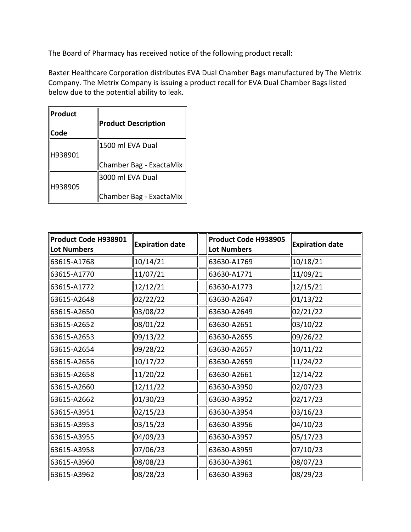The Board of Pharmacy has received notice of the following product recall:

 Baxter Healthcare Corporation distributes EVA Dual Chamber Bags manufactured by The Metrix below due to the potential ability to leak. Company. The Metrix Company is issuing a product recall for EVA Dual Chamber Bags listed

| <b>Product</b> | <b>Product Description</b> |  |  |  |
|----------------|----------------------------|--|--|--|
| <b>Code</b>    |                            |  |  |  |
|                | 1500 ml EVA Dual           |  |  |  |
| H938901        |                            |  |  |  |
|                | Chamber Bag - ExactaMix    |  |  |  |
|                | 3000 ml EVA Dual           |  |  |  |
| H938905        |                            |  |  |  |
|                | Chamber Bag - ExactaMix    |  |  |  |

| Product Code H938901<br><b>Lot Numbers</b> | <b>Expiration date</b> | Product Code H938905<br>Lot Numbers | <b>Expiration date</b> |
|--------------------------------------------|------------------------|-------------------------------------|------------------------|
| 63615-A1768                                | 10/14/21               | 63630-A1769                         | 10/18/21               |
| 63615-A1770                                | 11/07/21               | 63630-A1771                         | 11/09/21               |
| 63615-A1772                                | 12/12/21               | 63630-A1773                         | 12/15/21               |
| 63615-A2648                                | 02/22/22               | 63630-A2647                         | 01/13/22               |
| 63615-A2650                                | 03/08/22               | 63630-A2649                         | 02/21/22               |
| 63615-A2652                                | 08/01/22               | 63630-A2651                         | 03/10/22               |
| 63615-A2653                                | 09/13/22               | 63630-A2655                         | 09/26/22               |
| 63615-A2654                                | 09/28/22               | 63630-A2657                         | 10/11/22               |
| 63615-A2656                                | 10/17/22               | 63630-A2659                         | 11/24/22               |
| 63615-A2658                                | 11/20/22               | 63630-A2661                         | 12/14/22               |
| 63615-A2660                                | 12/11/22               | 63630-A3950                         | 02/07/23               |
| 63615-A2662                                | 01/30/23               | 63630-A3952                         | 02/17/23               |
| 63615-A3951                                | 02/15/23               | 63630-A3954                         | 03/16/23               |
| 63615-A3953                                | 03/15/23               | 63630-A3956                         | 04/10/23               |
| 63615-A3955                                | 04/09/23               | 63630-A3957                         | 05/17/23               |
| 63615-A3958                                | 07/06/23               | 63630-A3959                         | 07/10/23               |
| 63615-A3960                                | 08/08/23               | 63630-A3961                         | 08/07/23               |
| 63615-A3962                                | 08/28/23               | 63630-A3963                         | 08/29/23               |